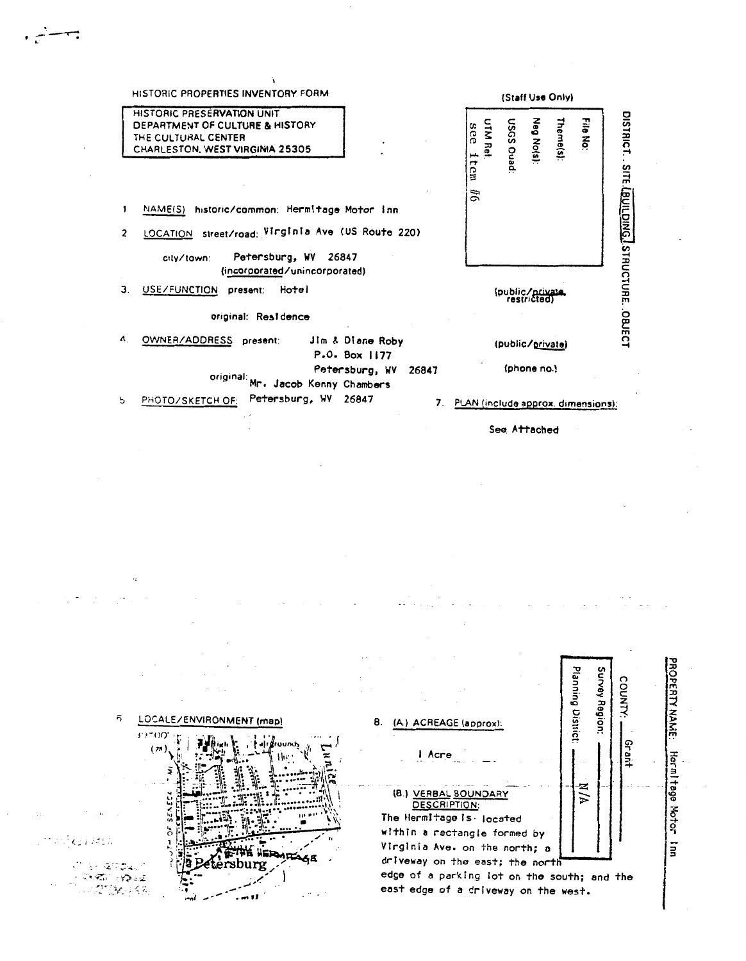| HISTORIC PROPERTIES INVENTORY FORM                                                                                                                                                                 | (Staff Use Only)                                                                |  |  |
|----------------------------------------------------------------------------------------------------------------------------------------------------------------------------------------------------|---------------------------------------------------------------------------------|--|--|
| HISTORIC PRESERVATION UNIT<br>DEPARTMENT OF CULTURE & HISTORY<br>THE CULTURAL CENTER<br>CHARLESTON, WEST VIRGINIA 25305                                                                            | Neg No(s):<br>Theme(s):<br>File No:<br>UTM Ref:<br>DeuQ SDSN<br>see<br>Į<br>tem |  |  |
| 1<br>NAME(S)<br>historic/common: Hermitage Motor Inn<br>LOCATION street/road: Virginia Ave (US Route 220)<br>$\overline{c}$<br>Petersburg, WV 26847<br>city/town:<br>(incorporated/unincorporated) | DISTRICT. SITE LOUILDING ISTRUCTURE. OBJECT<br>$\tilde{z}$                      |  |  |
| З.<br><b>USE/FUNCTION</b><br>Hotel<br>present:<br>original: Residence                                                                                                                              | (public/private)                                                                |  |  |
| Ą.<br>OWNER/ADDRESS<br>Jim & Diane Roby<br>present:<br>$P \cdot Q \cdot Box$ 1177                                                                                                                  | (public/private)                                                                |  |  |
| Petersburg, WV<br>26847<br>original:<br>Mr. Jacob Kenny Chambers<br>Petersburg, WV<br>26847<br>5                                                                                                   | (phone no.)                                                                     |  |  |
| PHOTO/SKETCH OF:<br>7.                                                                                                                                                                             | PLAN (include approx. dimensions):                                              |  |  |

بسستين

See Attached

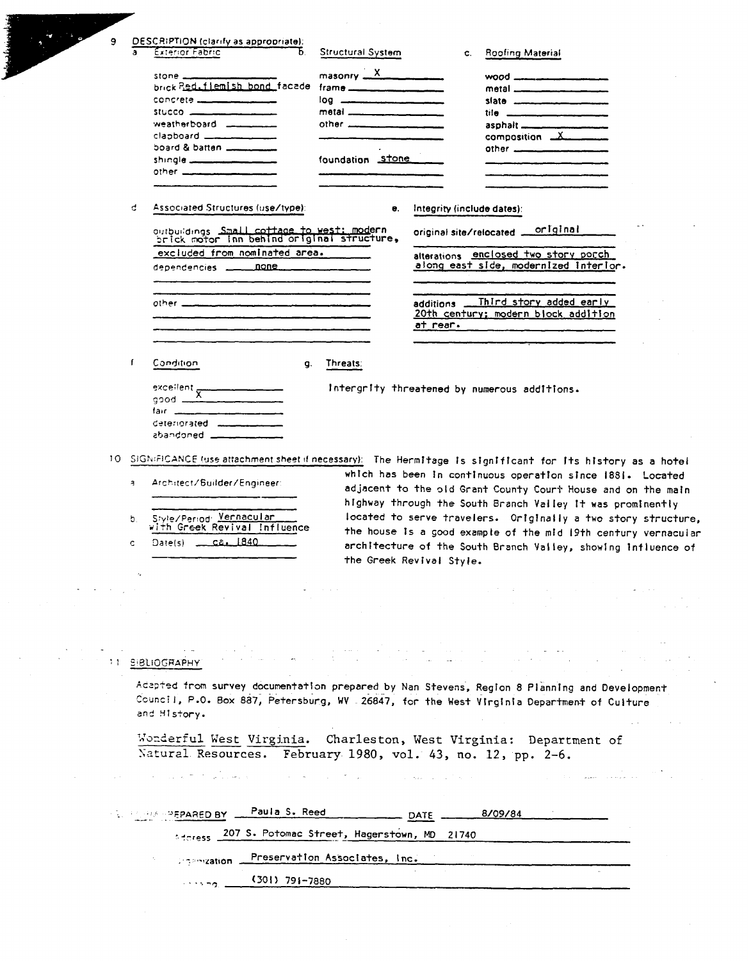|                                                                                                                                                                             | 9<br>a                                                                                                                        | DESCRIPTION (clarify as appropriate):<br>Exterior Fabric<br>b.                                                      | Structural System                                                                                                                                                                                                                                                                                                                                                                                                          | <b>Roofing Material</b><br>C.                                                                                                                                                                                                                                                                                             |  |
|-----------------------------------------------------------------------------------------------------------------------------------------------------------------------------|-------------------------------------------------------------------------------------------------------------------------------|---------------------------------------------------------------------------------------------------------------------|----------------------------------------------------------------------------------------------------------------------------------------------------------------------------------------------------------------------------------------------------------------------------------------------------------------------------------------------------------------------------------------------------------------------------|---------------------------------------------------------------------------------------------------------------------------------------------------------------------------------------------------------------------------------------------------------------------------------------------------------------------------|--|
|                                                                                                                                                                             |                                                                                                                               | stone $-$                                                                                                           | $massonry = \frac{X}{1 - \frac{y}{1 - \frac{y}{1 - \frac{y}{1 - \frac{y}{1 - \frac{y}{1 - \frac{y}{1 - \frac{y}{1 - \frac{y}{1 - \frac{y}{1 - \frac{y}{1 - \frac{y}{1 - \frac{y}{1 - \frac{y}{1 - \frac{y}{1 - \frac{y}{1 - \frac{y}{1 - \frac{y}{1 - \frac{y}{1 - \frac{y}{1 - \frac{y}{1 - \frac{y}{1 - \frac{y}{1 - \frac{y}{1 - \frac{y}{1 - \frac{y}{1 - \frac{y}{1 - \frac{y}{1 - \frac{y}{1 - \frac{y}{1 - \frac{y$ | $wood$ $\frac{1}{2}$ $\frac{1}{2}$ $\frac{1}{2}$ $\frac{1}{2}$ $\frac{1}{2}$ $\frac{1}{2}$ $\frac{1}{2}$ $\frac{1}{2}$ $\frac{1}{2}$ $\frac{1}{2}$ $\frac{1}{2}$ $\frac{1}{2}$ $\frac{1}{2}$ $\frac{1}{2}$ $\frac{1}{2}$ $\frac{1}{2}$ $\frac{1}{2}$ $\frac{1}{2}$ $\frac{1}{2}$ $\frac{1}{2}$ $\frac{1}{2}$ $\frac{1}{2$ |  |
|                                                                                                                                                                             |                                                                                                                               | brick Red.flemish bond facade                                                                                       | frame _______________                                                                                                                                                                                                                                                                                                                                                                                                      | metal _____________                                                                                                                                                                                                                                                                                                       |  |
|                                                                                                                                                                             |                                                                                                                               | stucco ____________________                                                                                         | log __________________________<br>metal ________________                                                                                                                                                                                                                                                                                                                                                                   | tile __________________________                                                                                                                                                                                                                                                                                           |  |
|                                                                                                                                                                             |                                                                                                                               | weatherboard _________                                                                                              | $other$ $\frac{1}{1}$                                                                                                                                                                                                                                                                                                                                                                                                      |                                                                                                                                                                                                                                                                                                                           |  |
|                                                                                                                                                                             |                                                                                                                               | $\epsilon$ lapboard $\frac{1}{\epsilon}$<br>board & batten                                                          |                                                                                                                                                                                                                                                                                                                                                                                                                            | composition _________                                                                                                                                                                                                                                                                                                     |  |
|                                                                                                                                                                             |                                                                                                                               | shingle ____________________                                                                                        | foundation stone                                                                                                                                                                                                                                                                                                                                                                                                           |                                                                                                                                                                                                                                                                                                                           |  |
|                                                                                                                                                                             |                                                                                                                               | other ___________________                                                                                           |                                                                                                                                                                                                                                                                                                                                                                                                                            |                                                                                                                                                                                                                                                                                                                           |  |
|                                                                                                                                                                             | đ.                                                                                                                            | Associated Structures (use/type):                                                                                   | е.                                                                                                                                                                                                                                                                                                                                                                                                                         | Integrity (include dates):                                                                                                                                                                                                                                                                                                |  |
|                                                                                                                                                                             |                                                                                                                               |                                                                                                                     |                                                                                                                                                                                                                                                                                                                                                                                                                            | original<br>original site/relocated                                                                                                                                                                                                                                                                                       |  |
|                                                                                                                                                                             |                                                                                                                               | excluded from nominated area.                                                                                       |                                                                                                                                                                                                                                                                                                                                                                                                                            | alterations enclosed two story porch                                                                                                                                                                                                                                                                                      |  |
|                                                                                                                                                                             |                                                                                                                               | dependencies _______ none                                                                                           |                                                                                                                                                                                                                                                                                                                                                                                                                            | along east side, modernized interior.                                                                                                                                                                                                                                                                                     |  |
|                                                                                                                                                                             |                                                                                                                               |                                                                                                                     |                                                                                                                                                                                                                                                                                                                                                                                                                            |                                                                                                                                                                                                                                                                                                                           |  |
|                                                                                                                                                                             |                                                                                                                               | .<br>Nasaran sa masarang masarang kalawang kalawang pangangan na masarang pangangang pangangang pangangang panganga |                                                                                                                                                                                                                                                                                                                                                                                                                            | Third story added early<br>additions.<br>20th century; modern block addition                                                                                                                                                                                                                                              |  |
|                                                                                                                                                                             |                                                                                                                               |                                                                                                                     |                                                                                                                                                                                                                                                                                                                                                                                                                            | at rear.                                                                                                                                                                                                                                                                                                                  |  |
|                                                                                                                                                                             | $\mathbf{f}$                                                                                                                  | Condition<br>g.                                                                                                     | Threats:                                                                                                                                                                                                                                                                                                                                                                                                                   |                                                                                                                                                                                                                                                                                                                           |  |
|                                                                                                                                                                             |                                                                                                                               |                                                                                                                     |                                                                                                                                                                                                                                                                                                                                                                                                                            |                                                                                                                                                                                                                                                                                                                           |  |
|                                                                                                                                                                             |                                                                                                                               | $\overbrace{\qquad \qquad }^{\text{exceilent}}$                                                                     |                                                                                                                                                                                                                                                                                                                                                                                                                            | Intergrity threatened by numerous additions.                                                                                                                                                                                                                                                                              |  |
|                                                                                                                                                                             |                                                                                                                               |                                                                                                                     |                                                                                                                                                                                                                                                                                                                                                                                                                            |                                                                                                                                                                                                                                                                                                                           |  |
|                                                                                                                                                                             |                                                                                                                               | deteriorated _____________<br>abandoned __________                                                                  |                                                                                                                                                                                                                                                                                                                                                                                                                            |                                                                                                                                                                                                                                                                                                                           |  |
|                                                                                                                                                                             |                                                                                                                               |                                                                                                                     |                                                                                                                                                                                                                                                                                                                                                                                                                            |                                                                                                                                                                                                                                                                                                                           |  |
|                                                                                                                                                                             |                                                                                                                               |                                                                                                                     |                                                                                                                                                                                                                                                                                                                                                                                                                            | 10 SIGNIFICANCE (use attachment sheet if necessary): The Hermitage is significant for its history as a hotel                                                                                                                                                                                                              |  |
| which has been in continuous operation since 1881. Located<br>Architect/Builder/Engineer:<br>$\overline{a}$<br>adjacent to the old Grant County Court House and on the main |                                                                                                                               |                                                                                                                     |                                                                                                                                                                                                                                                                                                                                                                                                                            |                                                                                                                                                                                                                                                                                                                           |  |
|                                                                                                                                                                             |                                                                                                                               |                                                                                                                     |                                                                                                                                                                                                                                                                                                                                                                                                                            | highway through the South Branch Valley it was prominently                                                                                                                                                                                                                                                                |  |
| Style/Period: Vernacular<br>b.                                                                                                                                              |                                                                                                                               |                                                                                                                     |                                                                                                                                                                                                                                                                                                                                                                                                                            | located to serve travelers. Originally a two story structure,                                                                                                                                                                                                                                                             |  |
|                                                                                                                                                                             | with Greek Revival Influence<br>the house is a good example of the mid 19th century vernacular<br>Date(s) _____ Ca. 1840<br>c |                                                                                                                     |                                                                                                                                                                                                                                                                                                                                                                                                                            |                                                                                                                                                                                                                                                                                                                           |  |
|                                                                                                                                                                             |                                                                                                                               |                                                                                                                     |                                                                                                                                                                                                                                                                                                                                                                                                                            | architecture of the South Branch Valley, showing influence of<br>the Greek Revival Style.                                                                                                                                                                                                                                 |  |
|                                                                                                                                                                             |                                                                                                                               |                                                                                                                     |                                                                                                                                                                                                                                                                                                                                                                                                                            |                                                                                                                                                                                                                                                                                                                           |  |
|                                                                                                                                                                             |                                                                                                                               |                                                                                                                     |                                                                                                                                                                                                                                                                                                                                                                                                                            |                                                                                                                                                                                                                                                                                                                           |  |
|                                                                                                                                                                             |                                                                                                                               |                                                                                                                     |                                                                                                                                                                                                                                                                                                                                                                                                                            |                                                                                                                                                                                                                                                                                                                           |  |
|                                                                                                                                                                             |                                                                                                                               |                                                                                                                     |                                                                                                                                                                                                                                                                                                                                                                                                                            |                                                                                                                                                                                                                                                                                                                           |  |
|                                                                                                                                                                             |                                                                                                                               | <b>SIBLIOGRAPHY</b>                                                                                                 |                                                                                                                                                                                                                                                                                                                                                                                                                            |                                                                                                                                                                                                                                                                                                                           |  |
|                                                                                                                                                                             |                                                                                                                               |                                                                                                                     |                                                                                                                                                                                                                                                                                                                                                                                                                            |                                                                                                                                                                                                                                                                                                                           |  |
|                                                                                                                                                                             |                                                                                                                               |                                                                                                                     |                                                                                                                                                                                                                                                                                                                                                                                                                            | Adapted from survey documentation prepared by Nan Stevens, Region 8 Planning and Development<br>Council, P.O. Box 887, Petersburg, WV 26847, for the West Virginia Department of Culture                                                                                                                                  |  |
|                                                                                                                                                                             |                                                                                                                               | and History.                                                                                                        |                                                                                                                                                                                                                                                                                                                                                                                                                            |                                                                                                                                                                                                                                                                                                                           |  |
|                                                                                                                                                                             |                                                                                                                               | Natural Resources. February 1980, vol. 43, no. 12, pp. 2-6.                                                         |                                                                                                                                                                                                                                                                                                                                                                                                                            | Wonderful West Virginia. Charleston, West Virginia: Department of                                                                                                                                                                                                                                                         |  |
|                                                                                                                                                                             |                                                                                                                               |                                                                                                                     |                                                                                                                                                                                                                                                                                                                                                                                                                            | state was a straightfully for the                                                                                                                                                                                                                                                                                         |  |
|                                                                                                                                                                             |                                                                                                                               | Paula S. Reed<br><b>SECTION PEPARED BY</b>                                                                          |                                                                                                                                                                                                                                                                                                                                                                                                                            | 8/09/84<br>_ DATE                                                                                                                                                                                                                                                                                                         |  |
|                                                                                                                                                                             |                                                                                                                               | 207 S. Potomac Street, Hagerstown, MD 21740<br>Address L                                                            |                                                                                                                                                                                                                                                                                                                                                                                                                            |                                                                                                                                                                                                                                                                                                                           |  |
|                                                                                                                                                                             |                                                                                                                               | complexion.                                                                                                         | Preservation Associates, Inc.                                                                                                                                                                                                                                                                                                                                                                                              |                                                                                                                                                                                                                                                                                                                           |  |
|                                                                                                                                                                             |                                                                                                                               | (301) 791-7880                                                                                                      |                                                                                                                                                                                                                                                                                                                                                                                                                            |                                                                                                                                                                                                                                                                                                                           |  |
|                                                                                                                                                                             |                                                                                                                               |                                                                                                                     |                                                                                                                                                                                                                                                                                                                                                                                                                            |                                                                                                                                                                                                                                                                                                                           |  |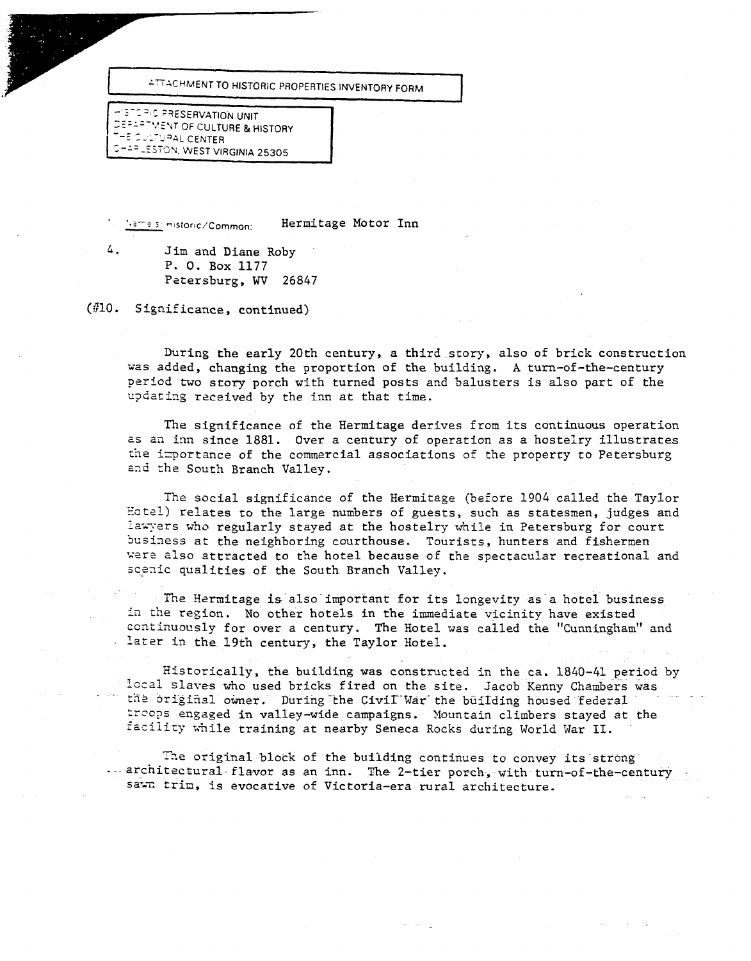**ATTACHMENT TO HISTORIC PROPERTIES INVENTORY FORM** 

(HISTORIC PRESERVATION UNIT)<br>DEPARTMENT OF CULTURE & HISTORY<br>THE OULTURAL CENTER  $I$ <sup>--=</sup>-ESTON, WEST VIRGINIA 25305

**Same simulation c/Common:** 

Hermitage Motor Inn

4. Jim and Diane Roby . P. **0.** Box 1177 Petersburg, WV 26847

(\$10. Significance, continued)

During the early 20th century, a third-story, also of brick construction was added, changing the proportion of the building. **A** turn-of-the-century period two story porch with turned posts and balusters is also part of the updating received by the inn at that time.

The significance of the Hermitage derives from its continuous operation **2s** a2 im since 1881. Over a century of operation as a hostelry illustrates the importance of the commercial associations of the property to Petersburg and the South Branch Valley.

The social significance of the Hermitage (before 1904 called the Taylor Eotsl) relates to the large numbers of guests, such as statesmen, judges and lawyers who regularly stayed at the hostelry while in Petersburg for court business at the neighboring courthouse. Tourists, hunters and fishermen were also attracted to the hotel because of the spectacular recreational and scenic qualities of the South Branch Valley.

The Hermitage is also important for its longevity as a hotel business in the region. No other hotels in the immediate vicinity have existed continuously for over a century. The Hotel was called the "Cunningham" and later in the 19th century, **the** Taylor Hotel.

Historically, the building was constructed in the ca. 1840-41 period by local slaves who used bricks fired on the site. Jacob Kenny Chambers was the original owner. During the Civil War the building housed federal treops engaged in valley-wide campaigns. Mountain climbers stayed at the facility while training at nearby Seneca Rocks during World War II.

The original block of the building continues to convey its strong ---architectural flavor as an inn. The 2-tier porch, with turn-of-the-century sawn trim, is evocative of Victoria-era rural architecture.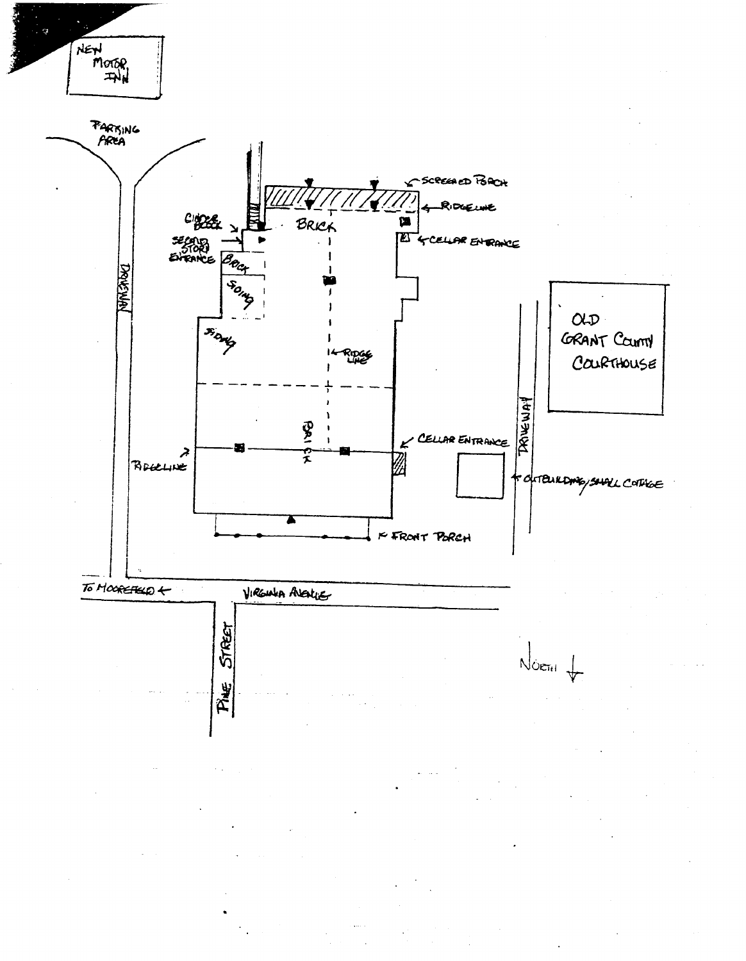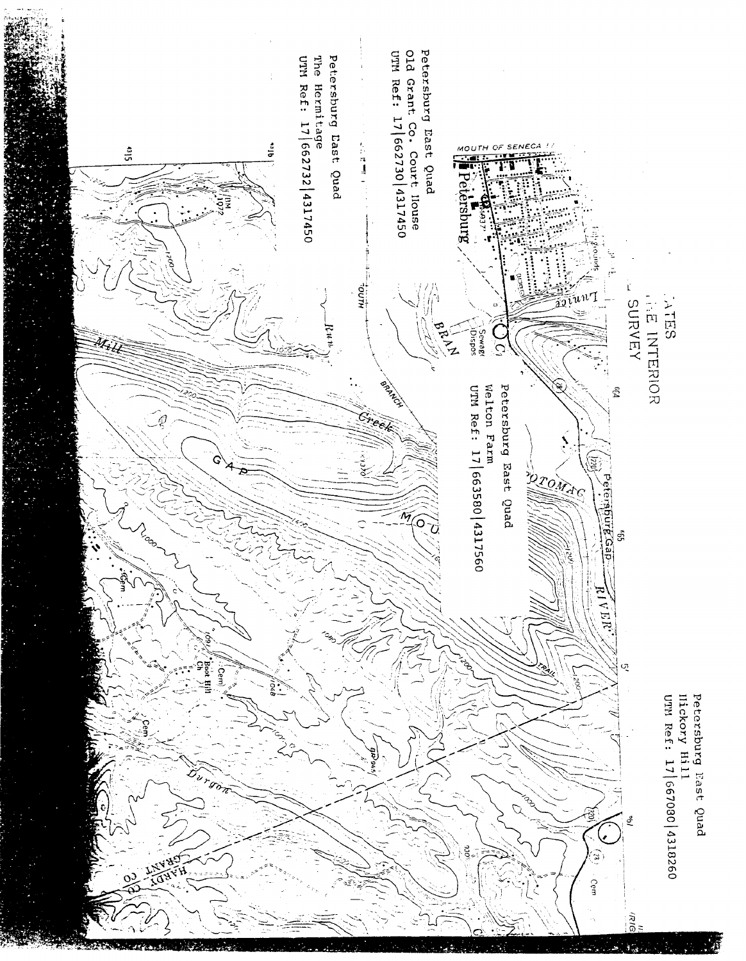